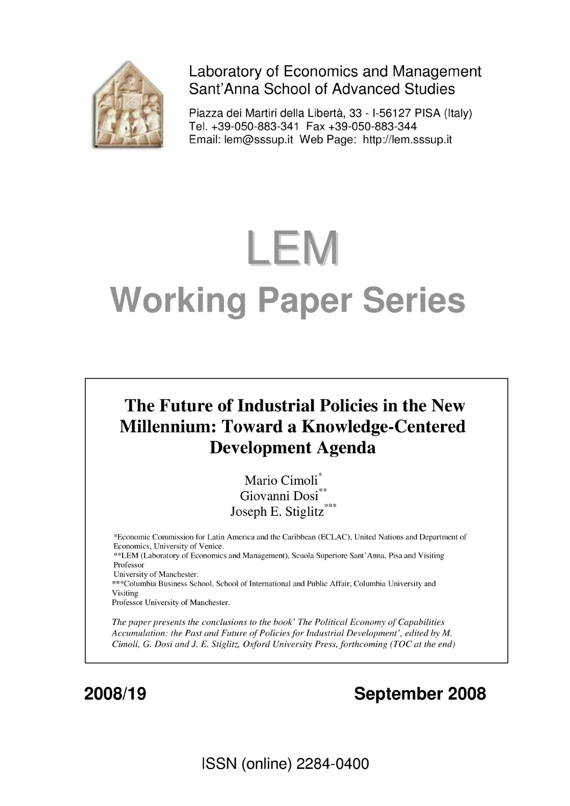

Laboratory of Economics and Management Sant'Anna School of Advanced Studies

Piazza dei Martiri della Libertà, 33 - I-56127 PISA (Italy) Tel +39-050-883-341 Fax +39-050-883-344 Email: lem@sssup.it Web Page: http://lem.sssup.it

# **LEM Working Paper Series**

#### The Future of Industrial Policies in the New Millennium: Toward a Knowledge-Centered **Development Agenda**

Mario Cimoli\* Giovanni Dosi\* Joseph E. Stiglitz<sup>®</sup>

\*Economic Commission for Latin America and the Caribbean (ECLAC), United Nations and Department of Economics, University of Venice. \*\*LEM (Laboratory of Economics and Management), Scuola Superiore Sant'Anna, Pisa and Visiting Professor University of Manchester.

\*\*\* Columbia Business School, School of International and Public Affair, Columbia University and Visiting

Professor University of Manchester.

The paper presents the conclusions to the book' The Political Economy of Capabilities Accumulation: the Past and Future of Policies for Industrial Development', edited by M. Cimoli, G. Dosi and J. E. Stiglitz, Oxford University Press, forthcoming (TOC at the end)

2008/19

#### September 2008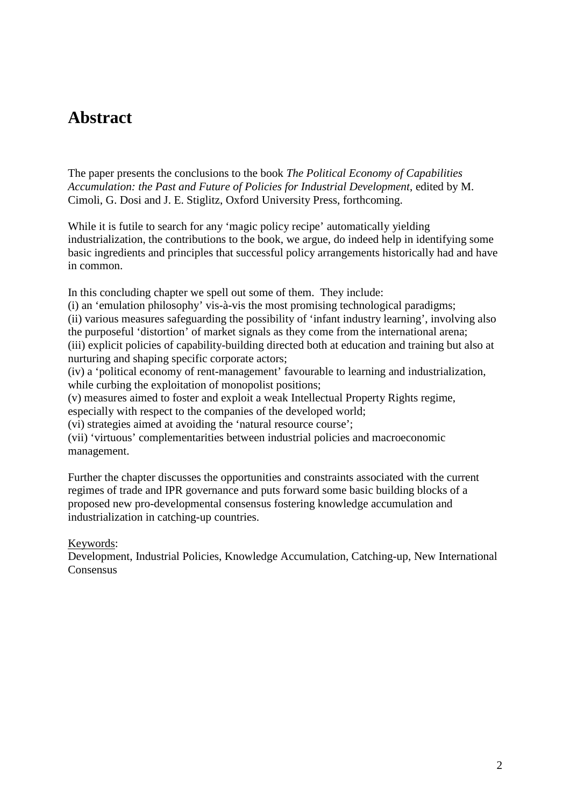## **Abstract**

The paper presents the conclusions to the book *The Political Economy of Capabilities Accumulation: the Past and Future of Policies for Industrial Development*, edited by M. Cimoli, G. Dosi and J. E. Stiglitz, Oxford University Press, forthcoming.

While it is futile to search for any 'magic policy recipe' automatically yielding industrialization, the contributions to the book, we argue, do indeed help in identifying some basic ingredients and principles that successful policy arrangements historically had and have in common.

In this concluding chapter we spell out some of them. They include:

(i) an 'emulation philosophy' vis-à-vis the most promising technological paradigms; (ii) various measures safeguarding the possibility of 'infant industry learning', involving also the purposeful 'distortion' of market signals as they come from the international arena; (iii) explicit policies of capability-building directed both at education and training but also at nurturing and shaping specific corporate actors;

(iv) a 'political economy of rent-management' favourable to learning and industrialization, while curbing the exploitation of monopolist positions;

(v) measures aimed to foster and exploit a weak Intellectual Property Rights regime, especially with respect to the companies of the developed world;

(vi) strategies aimed at avoiding the 'natural resource course';

(vii) 'virtuous' complementarities between industrial policies and macroeconomic management.

Further the chapter discusses the opportunities and constraints associated with the current regimes of trade and IPR governance and puts forward some basic building blocks of a proposed new pro-developmental consensus fostering knowledge accumulation and industrialization in catching-up countries.

#### Keywords:

Development, Industrial Policies, Knowledge Accumulation, Catching-up, New International Consensus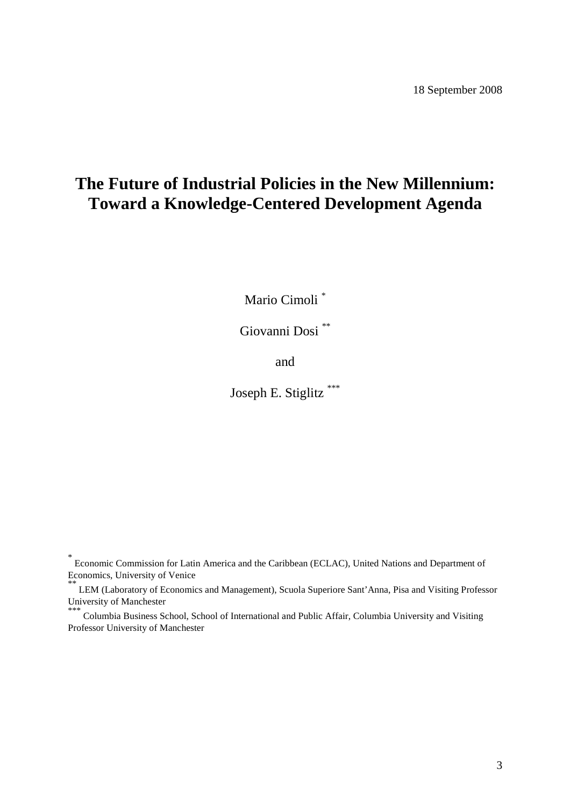## **The Future of Industrial Policies in the New Millennium: Toward a Knowledge-Centered Development Agenda**

Mario Cimoli \*

Giovanni Dosi \*\*

and

Joseph E. Stiglitz \*\*\*

<sup>\*</sup> Economic Commission for Latin America and the Caribbean (ECLAC), United Nations and Department of Economics, University of Venice

<sup>\*\*</sup> LEM (Laboratory of Economics and Management), Scuola Superiore Sant'Anna, Pisa and Visiting Professor University of Manchester

<sup>\*\*\*</sup> Columbia Business School, School of International and Public Affair, Columbia University and Visiting Professor University of Manchester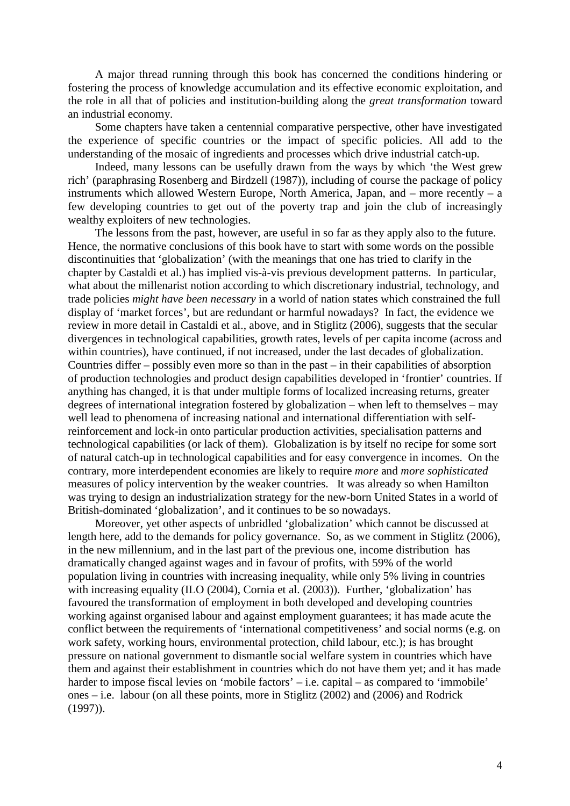A major thread running through this book has concerned the conditions hindering or fostering the process of knowledge accumulation and its effective economic exploitation, and the role in all that of policies and institution-building along the *great transformation* toward an industrial economy.

Some chapters have taken a centennial comparative perspective, other have investigated the experience of specific countries or the impact of specific policies. All add to the understanding of the mosaic of ingredients and processes which drive industrial catch-up.

Indeed, many lessons can be usefully drawn from the ways by which 'the West grew rich' (paraphrasing Rosenberg and Birdzell (1987)), including of course the package of policy instruments which allowed Western Europe, North America, Japan, and – more recently – a few developing countries to get out of the poverty trap and join the club of increasingly wealthy exploiters of new technologies.

The lessons from the past, however, are useful in so far as they apply also to the future. Hence, the normative conclusions of this book have to start with some words on the possible discontinuities that 'globalization' (with the meanings that one has tried to clarify in the chapter by Castaldi et al.) has implied vis-à-vis previous development patterns. In particular, what about the millenarist notion according to which discretionary industrial, technology, and trade policies *might have been necessary* in a world of nation states which constrained the full display of 'market forces', but are redundant or harmful nowadays? In fact, the evidence we review in more detail in Castaldi et al., above, and in Stiglitz (2006), suggests that the secular divergences in technological capabilities, growth rates, levels of per capita income (across and within countries), have continued, if not increased, under the last decades of globalization. Countries differ – possibly even more so than in the past – in their capabilities of absorption of production technologies and product design capabilities developed in 'frontier' countries. If anything has changed, it is that under multiple forms of localized increasing returns, greater degrees of international integration fostered by globalization – when left to themselves – may well lead to phenomena of increasing national and international differentiation with selfreinforcement and lock-in onto particular production activities, specialisation patterns and technological capabilities (or lack of them). Globalization is by itself no recipe for some sort of natural catch-up in technological capabilities and for easy convergence in incomes. On the contrary, more interdependent economies are likely to require *more* and *more sophisticated* measures of policy intervention by the weaker countries. It was already so when Hamilton was trying to design an industrialization strategy for the new-born United States in a world of British-dominated 'globalization', and it continues to be so nowadays.

Moreover, yet other aspects of unbridled 'globalization' which cannot be discussed at length here, add to the demands for policy governance. So, as we comment in Stiglitz (2006), in the new millennium, and in the last part of the previous one, income distribution has dramatically changed against wages and in favour of profits, with 59% of the world population living in countries with increasing inequality, while only 5% living in countries with increasing equality (ILO (2004), Cornia et al. (2003)). Further, 'globalization' has favoured the transformation of employment in both developed and developing countries working against organised labour and against employment guarantees; it has made acute the conflict between the requirements of 'international competitiveness' and social norms (e.g. on work safety, working hours, environmental protection, child labour, etc.); is has brought pressure on national government to dismantle social welfare system in countries which have them and against their establishment in countries which do not have them yet; and it has made harder to impose fiscal levies on 'mobile factors' – i.e. capital – as compared to 'immobile' ones – i.e. labour (on all these points, more in Stiglitz (2002) and (2006) and Rodrick (1997)).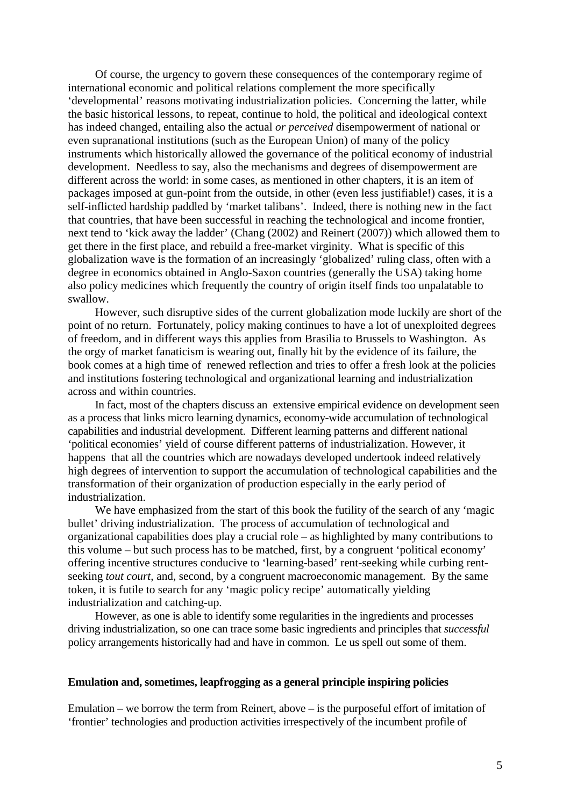Of course, the urgency to govern these consequences of the contemporary regime of international economic and political relations complement the more specifically 'developmental' reasons motivating industrialization policies. Concerning the latter, while the basic historical lessons, to repeat, continue to hold, the political and ideological context has indeed changed, entailing also the actual *or perceived* disempowerment of national or even supranational institutions (such as the European Union) of many of the policy instruments which historically allowed the governance of the political economy of industrial development. Needless to say, also the mechanisms and degrees of disempowerment are different across the world: in some cases, as mentioned in other chapters, it is an item of packages imposed at gun-point from the outside, in other (even less justifiable!) cases, it is a self-inflicted hardship paddled by 'market talibans'. Indeed, there is nothing new in the fact that countries, that have been successful in reaching the technological and income frontier, next tend to 'kick away the ladder' (Chang (2002) and Reinert (2007)) which allowed them to get there in the first place, and rebuild a free-market virginity. What is specific of this globalization wave is the formation of an increasingly 'globalized' ruling class, often with a degree in economics obtained in Anglo-Saxon countries (generally the USA) taking home also policy medicines which frequently the country of origin itself finds too unpalatable to swallow.

However, such disruptive sides of the current globalization mode luckily are short of the point of no return. Fortunately, policy making continues to have a lot of unexploited degrees of freedom, and in different ways this applies from Brasilia to Brussels to Washington. As the orgy of market fanaticism is wearing out, finally hit by the evidence of its failure, the book comes at a high time of renewed reflection and tries to offer a fresh look at the policies and institutions fostering technological and organizational learning and industrialization across and within countries.

In fact, most of the chapters discuss an extensive empirical evidence on development seen as a process that links micro learning dynamics, economy-wide accumulation of technological capabilities and industrial development. Different learning patterns and different national 'political economies' yield of course different patterns of industrialization. However, it happens that all the countries which are nowadays developed undertook indeed relatively high degrees of intervention to support the accumulation of technological capabilities and the transformation of their organization of production especially in the early period of industrialization.

We have emphasized from the start of this book the futility of the search of any 'magic bullet' driving industrialization. The process of accumulation of technological and organizational capabilities does play a crucial role – as highlighted by many contributions to this volume – but such process has to be matched, first, by a congruent 'political economy' offering incentive structures conducive to 'learning-based' rent-seeking while curbing rentseeking *tout court*, and, second, by a congruent macroeconomic management. By the same token, it is futile to search for any 'magic policy recipe' automatically yielding industrialization and catching-up.

However, as one is able to identify some regularities in the ingredients and processes driving industrialization, so one can trace some basic ingredients and principles that *successful* policy arrangements historically had and have in common. Le us spell out some of them.

#### **Emulation and, sometimes, leapfrogging as a general principle inspiring policies**

Emulation – we borrow the term from Reinert, above – is the purposeful effort of imitation of 'frontier' technologies and production activities irrespectively of the incumbent profile of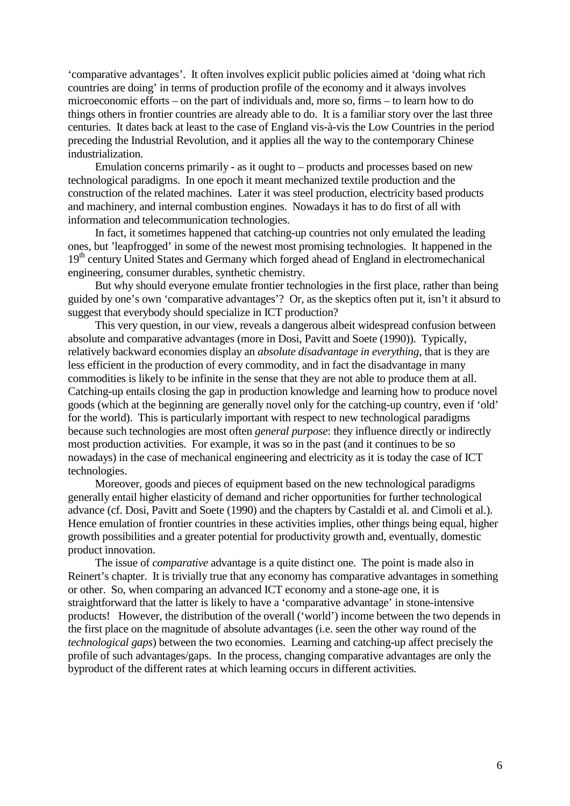'comparative advantages'. It often involves explicit public policies aimed at 'doing what rich countries are doing' in terms of production profile of the economy and it always involves microeconomic efforts – on the part of individuals and, more so, firms – to learn how to do things others in frontier countries are already able to do. It is a familiar story over the last three centuries. It dates back at least to the case of England vis-à-vis the Low Countries in the period preceding the Industrial Revolution, and it applies all the way to the contemporary Chinese industrialization.

Emulation concerns primarily - as it ought to – products and processes based on new technological paradigms. In one epoch it meant mechanized textile production and the construction of the related machines. Later it was steel production, electricity based products and machinery, and internal combustion engines. Nowadays it has to do first of all with information and telecommunication technologies.

In fact, it sometimes happened that catching-up countries not only emulated the leading ones, but 'leapfrogged' in some of the newest most promising technologies. It happened in the 19<sup>th</sup> century United States and Germany which forged ahead of England in electromechanical engineering, consumer durables, synthetic chemistry.

But why should everyone emulate frontier technologies in the first place, rather than being guided by one's own 'comparative advantages'? Or, as the skeptics often put it, isn't it absurd to suggest that everybody should specialize in ICT production?

This very question, in our view, reveals a dangerous albeit widespread confusion between absolute and comparative advantages (more in Dosi, Pavitt and Soete (1990)). Typically, relatively backward economies display an *absolute disadvantage in everything*, that is they are less efficient in the production of every commodity, and in fact the disadvantage in many commodities is likely to be infinite in the sense that they are not able to produce them at all. Catching-up entails closing the gap in production knowledge and learning how to produce novel goods (which at the beginning are generally novel only for the catching-up country, even if 'old' for the world). This is particularly important with respect to new technological paradigms because such technologies are most often *general purpose*: they influence directly or indirectly most production activities. For example, it was so in the past (and it continues to be so nowadays) in the case of mechanical engineering and electricity as it is today the case of ICT technologies.

Moreover, goods and pieces of equipment based on the new technological paradigms generally entail higher elasticity of demand and richer opportunities for further technological advance (cf. Dosi, Pavitt and Soete (1990) and the chapters by Castaldi et al. and Cimoli et al.). Hence emulation of frontier countries in these activities implies, other things being equal, higher growth possibilities and a greater potential for productivity growth and, eventually, domestic product innovation.

The issue of *comparative* advantage is a quite distinct one. The point is made also in Reinert's chapter. It is trivially true that any economy has comparative advantages in something or other. So, when comparing an advanced ICT economy and a stone-age one, it is straightforward that the latter is likely to have a 'comparative advantage' in stone-intensive products! However, the distribution of the overall ('world') income between the two depends in the first place on the magnitude of absolute advantages (i.e. seen the other way round of the *technological gaps*) between the two economies. Learning and catching-up affect precisely the profile of such advantages/gaps. In the process, changing comparative advantages are only the byproduct of the different rates at which learning occurs in different activities.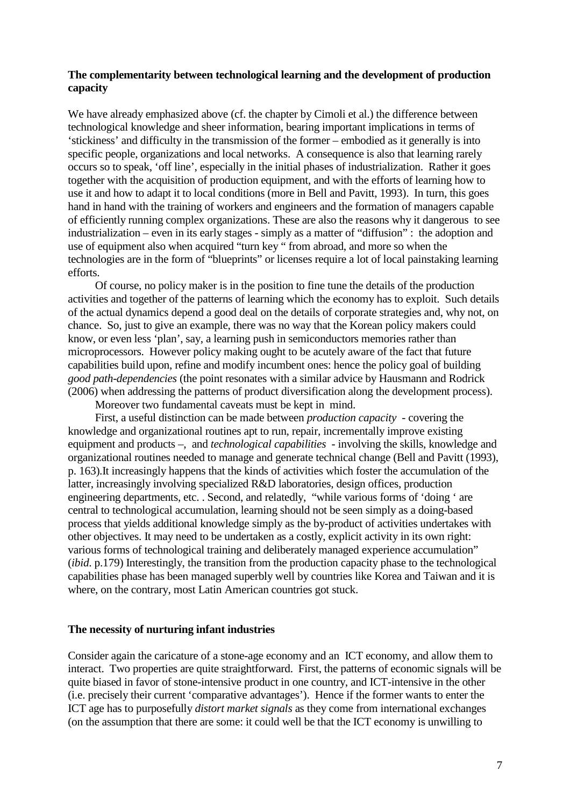## **The complementarity between technological learning and the development of production capacity**

We have already emphasized above (cf. the chapter by Cimoli et al.) the difference between technological knowledge and sheer information, bearing important implications in terms of 'stickiness' and difficulty in the transmission of the former – embodied as it generally is into specific people, organizations and local networks. A consequence is also that learning rarely occurs so to speak, 'off line', especially in the initial phases of industrialization. Rather it goes together with the acquisition of production equipment, and with the efforts of learning how to use it and how to adapt it to local conditions (more in Bell and Pavitt, 1993). In turn, this goes hand in hand with the training of workers and engineers and the formation of managers capable of efficiently running complex organizations. These are also the reasons why it dangerous to see industrialization – even in its early stages - simply as a matter of "diffusion" : the adoption and use of equipment also when acquired "turn key " from abroad, and more so when the technologies are in the form of "blueprints" or licenses require a lot of local painstaking learning efforts.

Of course, no policy maker is in the position to fine tune the details of the production activities and together of the patterns of learning which the economy has to exploit. Such details of the actual dynamics depend a good deal on the details of corporate strategies and, why not, on chance. So, just to give an example, there was no way that the Korean policy makers could know, or even less 'plan', say, a learning push in semiconductors memories rather than microprocessors. However policy making ought to be acutely aware of the fact that future capabilities build upon, refine and modify incumbent ones: hence the policy goal of building *good path-dependencies* (the point resonates with a similar advice by Hausmann and Rodrick (2006) when addressing the patterns of product diversification along the development process).

Moreover two fundamental caveats must be kept in mind.

First, a useful distinction can be made between *production capacity -* covering the knowledge and organizational routines apt to run, repair, incrementally improve existing equipment and products –, and *technological capabilities* - involving the skills, knowledge and organizational routines needed to manage and generate technical change (Bell and Pavitt (1993), p. 163).It increasingly happens that the kinds of activities which foster the accumulation of the latter, increasingly involving specialized R&D laboratories, design offices, production engineering departments, etc. . Second, and relatedly, "while various forms of 'doing ' are central to technological accumulation, learning should not be seen simply as a doing-based process that yields additional knowledge simply as the by-product of activities undertakes with other objectives. It may need to be undertaken as a costly, explicit activity in its own right: various forms of technological training and deliberately managed experience accumulation" (*ibid*. p.179) Interestingly, the transition from the production capacity phase to the technological capabilities phase has been managed superbly well by countries like Korea and Taiwan and it is where, on the contrary, most Latin American countries got stuck.

#### **The necessity of nurturing infant industries**

Consider again the caricature of a stone-age economy and an ICT economy, and allow them to interact. Two properties are quite straightforward. First, the patterns of economic signals will be quite biased in favor of stone-intensive product in one country, and ICT-intensive in the other (i.e. precisely their current 'comparative advantages'). Hence if the former wants to enter the ICT age has to purposefully *distort market signals* as they come from international exchanges (on the assumption that there are some: it could well be that the ICT economy is unwilling to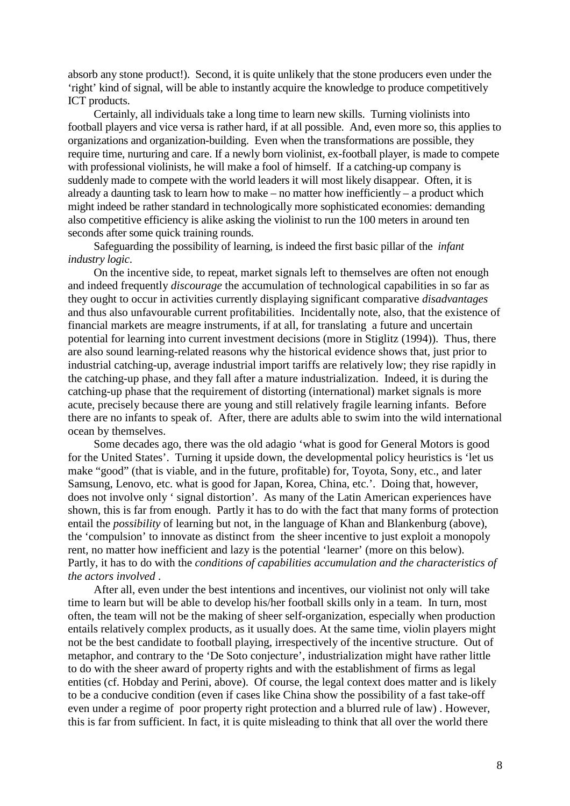absorb any stone product!). Second, it is quite unlikely that the stone producers even under the 'right' kind of signal, will be able to instantly acquire the knowledge to produce competitively ICT products.

Certainly, all individuals take a long time to learn new skills. Turning violinists into football players and vice versa is rather hard, if at all possible. And, even more so, this applies to organizations and organization-building. Even when the transformations are possible, they require time, nurturing and care. If a newly born violinist, ex-football player, is made to compete with professional violinists, he will make a fool of himself. If a catching-up company is suddenly made to compete with the world leaders it will most likely disappear. Often, it is already a daunting task to learn how to make – no matter how inefficiently – a product which might indeed be rather standard in technologically more sophisticated economies: demanding also competitive efficiency is alike asking the violinist to run the 100 meters in around ten seconds after some quick training rounds.

Safeguarding the possibility of learning, is indeed the first basic pillar of the *infant industry logic*.

On the incentive side, to repeat, market signals left to themselves are often not enough and indeed frequently *discourage* the accumulation of technological capabilities in so far as they ought to occur in activities currently displaying significant comparative *disadvantages* and thus also unfavourable current profitabilities. Incidentally note, also, that the existence of financial markets are meagre instruments, if at all, for translating a future and uncertain potential for learning into current investment decisions (more in Stiglitz (1994)). Thus, there are also sound learning-related reasons why the historical evidence shows that, just prior to industrial catching-up, average industrial import tariffs are relatively low; they rise rapidly in the catching-up phase, and they fall after a mature industrialization. Indeed, it is during the catching-up phase that the requirement of distorting (international) market signals is more acute, precisely because there are young and still relatively fragile learning infants. Before there are no infants to speak of. After, there are adults able to swim into the wild international ocean by themselves.

Some decades ago, there was the old adagio 'what is good for General Motors is good for the United States'. Turning it upside down, the developmental policy heuristics is 'let us make "good" (that is viable, and in the future, profitable) for, Toyota, Sony, etc., and later Samsung, Lenovo, etc. what is good for Japan, Korea, China, etc.'. Doing that, however, does not involve only ' signal distortion'. As many of the Latin American experiences have shown, this is far from enough. Partly it has to do with the fact that many forms of protection entail the *possibility* of learning but not, in the language of Khan and Blankenburg (above), the 'compulsion' to innovate as distinct from the sheer incentive to just exploit a monopoly rent, no matter how inefficient and lazy is the potential 'learner' (more on this below). Partly, it has to do with the *conditions of capabilities accumulation and the characteristics of the actors involved* .

After all, even under the best intentions and incentives, our violinist not only will take time to learn but will be able to develop his/her football skills only in a team. In turn, most often, the team will not be the making of sheer self-organization, especially when production entails relatively complex products, as it usually does. At the same time, violin players might not be the best candidate to football playing, irrespectively of the incentive structure. Out of metaphor, and contrary to the 'De Soto conjecture', industrialization might have rather little to do with the sheer award of property rights and with the establishment of firms as legal entities (cf. Hobday and Perini, above). Of course, the legal context does matter and is likely to be a conducive condition (even if cases like China show the possibility of a fast take-off even under a regime of poor property right protection and a blurred rule of law) . However, this is far from sufficient. In fact, it is quite misleading to think that all over the world there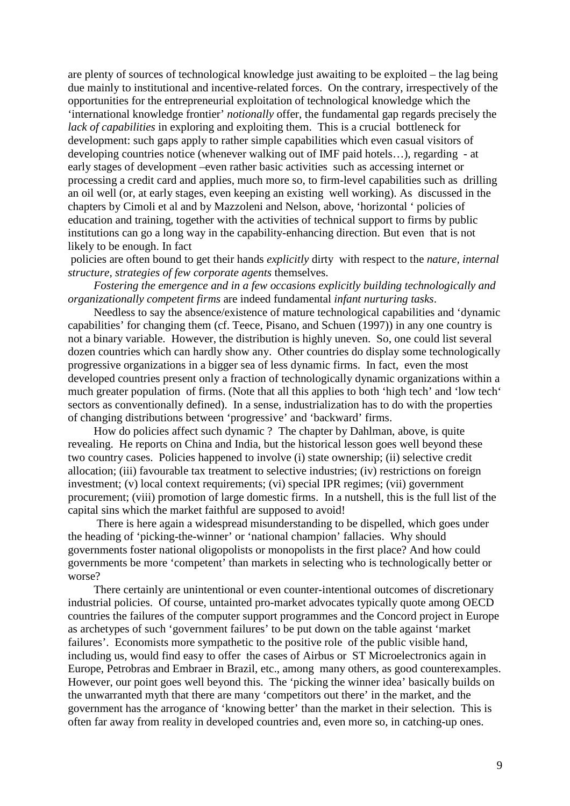are plenty of sources of technological knowledge just awaiting to be exploited – the lag being due mainly to institutional and incentive-related forces. On the contrary, irrespectively of the opportunities for the entrepreneurial exploitation of technological knowledge which the 'international knowledge frontier' *notionally* offer, the fundamental gap regards precisely the *lack of capabilities* in exploring and exploiting them. This is a crucial bottleneck for development: such gaps apply to rather simple capabilities which even casual visitors of developing countries notice (whenever walking out of IMF paid hotels…), regarding - at early stages of development –even rather basic activities such as accessing internet or processing a credit card and applies, much more so, to firm-level capabilities such as drilling an oil well (or, at early stages, even keeping an existing well working). As discussed in the chapters by Cimoli et al and by Mazzoleni and Nelson, above, 'horizontal ' policies of education and training, together with the activities of technical support to firms by public institutions can go a long way in the capability-enhancing direction. But even that is not likely to be enough. In fact

 policies are often bound to get their hands *explicitly* dirty with respect to the *nature, internal structure, strategies of few corporate agents* themselves.

*Fostering the emergence and in a few occasions explicitly building technologically and organizationally competent firms* are indeed fundamental *infant nurturing tasks*.

Needless to say the absence/existence of mature technological capabilities and 'dynamic capabilities' for changing them (cf. Teece, Pisano, and Schuen (1997)) in any one country is not a binary variable. However, the distribution is highly uneven. So, one could list several dozen countries which can hardly show any. Other countries do display some technologically progressive organizations in a bigger sea of less dynamic firms. In fact, even the most developed countries present only a fraction of technologically dynamic organizations within a much greater population of firms. (Note that all this applies to both 'high tech' and 'low tech' sectors as conventionally defined). In a sense, industrialization has to do with the properties of changing distributions between 'progressive' and 'backward' firms.

How do policies affect such dynamic ? The chapter by Dahlman, above, is quite revealing. He reports on China and India, but the historical lesson goes well beyond these two country cases. Policies happened to involve (i) state ownership; (ii) selective credit allocation; (iii) favourable tax treatment to selective industries; (iv) restrictions on foreign investment; (v) local context requirements; (vi) special IPR regimes; (vii) government procurement; (viii) promotion of large domestic firms. In a nutshell, this is the full list of the capital sins which the market faithful are supposed to avoid!

 There is here again a widespread misunderstanding to be dispelled, which goes under the heading of 'picking-the-winner' or 'national champion' fallacies. Why should governments foster national oligopolists or monopolists in the first place? And how could governments be more 'competent' than markets in selecting who is technologically better or worse?

There certainly are unintentional or even counter-intentional outcomes of discretionary industrial policies. Of course, untainted pro-market advocates typically quote among OECD countries the failures of the computer support programmes and the Concord project in Europe as archetypes of such 'government failures' to be put down on the table against 'market failures'. Economists more sympathetic to the positive role of the public visible hand, including us, would find easy to offer the cases of Airbus or ST Microelectronics again in Europe, Petrobras and Embraer in Brazil, etc., among many others, as good counterexamples. However, our point goes well beyond this. The 'picking the winner idea' basically builds on the unwarranted myth that there are many 'competitors out there' in the market, and the government has the arrogance of 'knowing better' than the market in their selection. This is often far away from reality in developed countries and, even more so, in catching-up ones.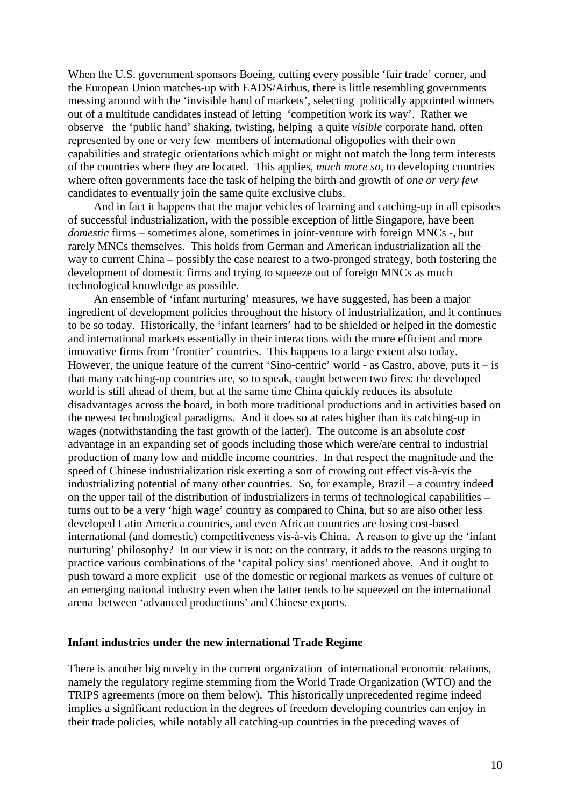When the U.S. government sponsors Boeing, cutting every possible 'fair trade' corner, and the European Union matches-up with EADS/Airbus, there is little resembling governments messing around with the 'invisible hand of markets', selecting politically appointed winners out of a multitude candidates instead of letting 'competition work its way'. Rather we observe the 'public hand' shaking, twisting, helping a quite *visible* corporate hand, often represented by one or very few members of international oligopolies with their own capabilities and strategic orientations which might or might not match the long term interests of the countries where they are located. This applies, *much more so,* to developing countries where often governments face the task of helping the birth and growth of *one or very few*  candidates to eventually join the same quite exclusive clubs.

And in fact it happens that the major vehicles of learning and catching-up in all episodes of successful industrialization, with the possible exception of little Singapore, have been *domestic* firms – sometimes alone, sometimes in joint-venture with foreign MNCs -, but rarely MNCs themselves. This holds from German and American industrialization all the way to current China – possibly the case nearest to a two-pronged strategy, both fostering the development of domestic firms and trying to squeeze out of foreign MNCs as much technological knowledge as possible.

An ensemble of 'infant nurturing' measures, we have suggested, has been a major ingredient of development policies throughout the history of industrialization, and it continues to be so today. Historically, the 'infant learners' had to be shielded or helped in the domestic and international markets essentially in their interactions with the more efficient and more innovative firms from 'frontier' countries. This happens to a large extent also today. However, the unique feature of the current 'Sino-centric' world - as Castro, above, puts it – is that many catching-up countries are, so to speak, caught between two fires: the developed world is still ahead of them, but at the same time China quickly reduces its absolute disadvantages across the board, in both more traditional productions and in activities based on the newest technological paradigms. And it does so at rates higher than its catching-up in wages (notwithstanding the fast growth of the latter). The outcome is an absolute *cost* advantage in an expanding set of goods including those which were/are central to industrial production of many low and middle income countries. In that respect the magnitude and the speed of Chinese industrialization risk exerting a sort of crowing out effect vis-à-vis the industrializing potential of many other countries. So, for example, Brazil – a country indeed on the upper tail of the distribution of industrializers in terms of technological capabilities – turns out to be a very 'high wage' country as compared to China, but so are also other less developed Latin America countries, and even African countries are losing cost-based international (and domestic) competitiveness vis-à-vis China. A reason to give up the 'infant nurturing' philosophy? In our view it is not: on the contrary, it adds to the reasons urging to practice various combinations of the 'capital policy sins' mentioned above. And it ought to push toward a more explicit use of the domestic or regional markets as venues of culture of an emerging national industry even when the latter tends to be squeezed on the international arena between 'advanced productions' and Chinese exports.

#### **Infant industries under the new international Trade Regime**

There is another big novelty in the current organization of international economic relations, namely the regulatory regime stemming from the World Trade Organization (WTO) and the TRIPS agreements (more on them below). This historically unprecedented regime indeed implies a significant reduction in the degrees of freedom developing countries can enjoy in their trade policies, while notably all catching-up countries in the preceding waves of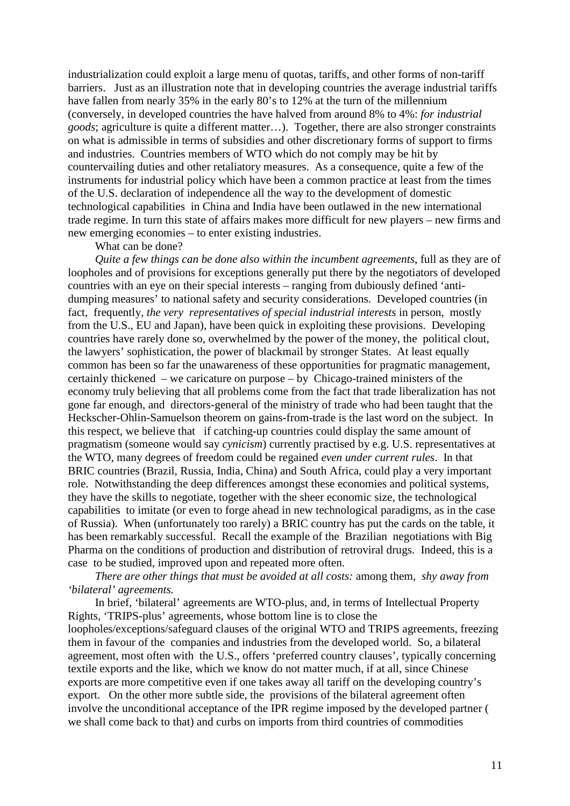industrialization could exploit a large menu of quotas, tariffs, and other forms of non-tariff barriers. Just as an illustration note that in developing countries the average industrial tariffs have fallen from nearly 35% in the early 80's to 12% at the turn of the millennium (conversely, in developed countries the have halved from around 8% to 4%: *for industrial goods*; agriculture is quite a different matter…). Together, there are also stronger constraints on what is admissible in terms of subsidies and other discretionary forms of support to firms and industries. Countries members of WTO which do not comply may be hit by countervailing duties and other retaliatory measures. As a consequence, quite a few of the instruments for industrial policy which have been a common practice at least from the times of the U.S. declaration of independence all the way to the development of domestic technological capabilities in China and India have been outlawed in the new international trade regime. In turn this state of affairs makes more difficult for new players – new firms and new emerging economies – to enter existing industries.

#### What can be done?

*Quite a few things can be done also within the incumbent agreements*, full as they are of loopholes and of provisions for exceptions generally put there by the negotiators of developed countries with an eye on their special interests – ranging from dubiously defined 'antidumping measures' to national safety and security considerations. Developed countries (in fact, frequently, *the very representatives of special industrial interests* in person, mostly from the U.S., EU and Japan), have been quick in exploiting these provisions. Developing countries have rarely done so, overwhelmed by the power of the money, the political clout, the lawyers' sophistication, the power of blackmail by stronger States. At least equally common has been so far the unawareness of these opportunities for pragmatic management, certainly thickened – we caricature on purpose – by Chicago-trained ministers of the economy truly believing that all problems come from the fact that trade liberalization has not gone far enough, and directors-general of the ministry of trade who had been taught that the Heckscher-Ohlin-Samuelson theorem on gains-from-trade is the last word on the subject. In this respect, we believe that if catching-up countries could display the same amount of pragmatism (someone would say *cynicism*) currently practised by e.g. U.S. representatives at the WTO, many degrees of freedom could be regained *even under current rules*. In that BRIC countries (Brazil, Russia, India, China) and South Africa, could play a very important role. Notwithstanding the deep differences amongst these economies and political systems, they have the skills to negotiate, together with the sheer economic size, the technological capabilities to imitate (or even to forge ahead in new technological paradigms, as in the case of Russia). When (unfortunately too rarely) a BRIC country has put the cards on the table, it has been remarkably successful. Recall the example of the Brazilian negotiations with Big Pharma on the conditions of production and distribution of retroviral drugs. Indeed, this is a case to be studied, improved upon and repeated more often.

*There are other things that must be avoided at all costs:* among them*, shy away from 'bilateral' agreements.* 

In brief, 'bilateral' agreements are WTO-plus, and, in terms of Intellectual Property Rights, 'TRIPS-plus' agreements, whose bottom line is to close the

loopholes/exceptions/safeguard clauses of the original WTO and TRIPS agreements, freezing them in favour of the companies and industries from the developed world. So, a bilateral agreement, most often with the U.S., offers 'preferred country clauses', typically concerning textile exports and the like, which we know do not matter much, if at all, since Chinese exports are more competitive even if one takes away all tariff on the developing country's export. On the other more subtle side, the provisions of the bilateral agreement often involve the unconditional acceptance of the IPR regime imposed by the developed partner ( we shall come back to that) and curbs on imports from third countries of commodities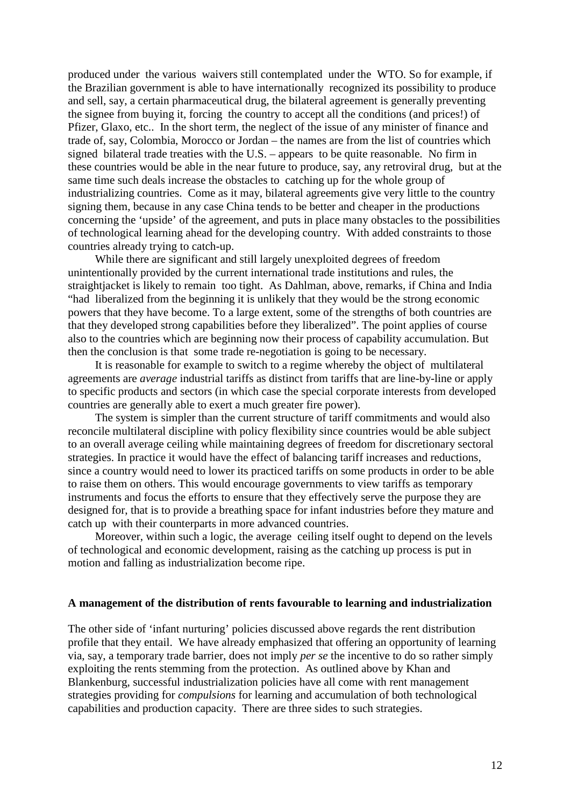produced under the various waivers still contemplated under the WTO. So for example, if the Brazilian government is able to have internationally recognized its possibility to produce and sell, say, a certain pharmaceutical drug, the bilateral agreement is generally preventing the signee from buying it, forcing the country to accept all the conditions (and prices!) of Pfizer, Glaxo, etc.. In the short term, the neglect of the issue of any minister of finance and trade of, say, Colombia, Morocco or Jordan – the names are from the list of countries which signed bilateral trade treaties with the U.S. – appears to be quite reasonable. No firm in these countries would be able in the near future to produce, say, any retroviral drug, but at the same time such deals increase the obstacles to catching up for the whole group of industrializing countries. Come as it may, bilateral agreements give very little to the country signing them, because in any case China tends to be better and cheaper in the productions concerning the 'upside' of the agreement, and puts in place many obstacles to the possibilities of technological learning ahead for the developing country. With added constraints to those countries already trying to catch-up.

While there are significant and still largely unexploited degrees of freedom unintentionally provided by the current international trade institutions and rules, the straightjacket is likely to remain too tight. As Dahlman, above, remarks, if China and India "had liberalized from the beginning it is unlikely that they would be the strong economic powers that they have become. To a large extent, some of the strengths of both countries are that they developed strong capabilities before they liberalized". The point applies of course also to the countries which are beginning now their process of capability accumulation. But then the conclusion is that some trade re-negotiation is going to be necessary.

It is reasonable for example to switch to a regime whereby the object of multilateral agreements are *average* industrial tariffs as distinct from tariffs that are line-by-line or apply to specific products and sectors (in which case the special corporate interests from developed countries are generally able to exert a much greater fire power).

The system is simpler than the current structure of tariff commitments and would also reconcile multilateral discipline with policy flexibility since countries would be able subject to an overall average ceiling while maintaining degrees of freedom for discretionary sectoral strategies. In practice it would have the effect of balancing tariff increases and reductions, since a country would need to lower its practiced tariffs on some products in order to be able to raise them on others. This would encourage governments to view tariffs as temporary instruments and focus the efforts to ensure that they effectively serve the purpose they are designed for, that is to provide a breathing space for infant industries before they mature and catch up with their counterparts in more advanced countries.

Moreover, within such a logic, the average ceiling itself ought to depend on the levels of technological and economic development, raising as the catching up process is put in motion and falling as industrialization become ripe.

#### **A management of the distribution of rents favourable to learning and industrialization**

The other side of 'infant nurturing' policies discussed above regards the rent distribution profile that they entail. We have already emphasized that offering an opportunity of learning via, say, a temporary trade barrier, does not imply *per se* the incentive to do so rather simply exploiting the rents stemming from the protection. As outlined above by Khan and Blankenburg, successful industrialization policies have all come with rent management strategies providing for *compulsions* for learning and accumulation of both technological capabilities and production capacity. There are three sides to such strategies.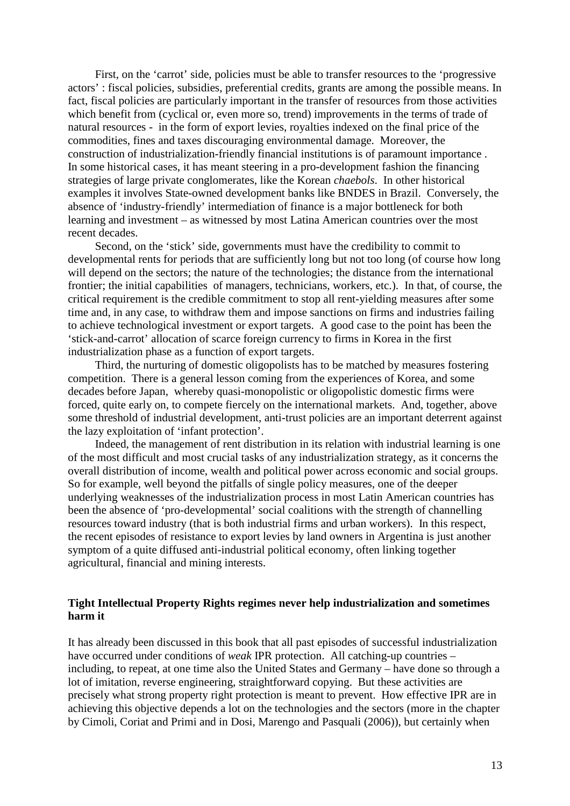First, on the 'carrot' side, policies must be able to transfer resources to the 'progressive actors' : fiscal policies, subsidies, preferential credits, grants are among the possible means. In fact, fiscal policies are particularly important in the transfer of resources from those activities which benefit from (cyclical or, even more so, trend) improvements in the terms of trade of natural resources - in the form of export levies, royalties indexed on the final price of the commodities, fines and taxes discouraging environmental damage. Moreover, the construction of industrialization-friendly financial institutions is of paramount importance . In some historical cases, it has meant steering in a pro-development fashion the financing strategies of large private conglomerates, like the Korean *chaebols*. In other historical examples it involves State-owned development banks like BNDES in Brazil. Conversely, the absence of 'industry-friendly' intermediation of finance is a major bottleneck for both learning and investment – as witnessed by most Latina American countries over the most recent decades.

Second, on the 'stick' side, governments must have the credibility to commit to developmental rents for periods that are sufficiently long but not too long (of course how long will depend on the sectors; the nature of the technologies; the distance from the international frontier; the initial capabilities of managers, technicians, workers, etc.). In that, of course, the critical requirement is the credible commitment to stop all rent-yielding measures after some time and, in any case, to withdraw them and impose sanctions on firms and industries failing to achieve technological investment or export targets. A good case to the point has been the 'stick-and-carrot' allocation of scarce foreign currency to firms in Korea in the first industrialization phase as a function of export targets.

Third, the nurturing of domestic oligopolists has to be matched by measures fostering competition. There is a general lesson coming from the experiences of Korea, and some decades before Japan, whereby quasi-monopolistic or oligopolistic domestic firms were forced, quite early on, to compete fiercely on the international markets. And, together, above some threshold of industrial development, anti-trust policies are an important deterrent against the lazy exploitation of 'infant protection'.

Indeed, the management of rent distribution in its relation with industrial learning is one of the most difficult and most crucial tasks of any industrialization strategy, as it concerns the overall distribution of income, wealth and political power across economic and social groups. So for example, well beyond the pitfalls of single policy measures, one of the deeper underlying weaknesses of the industrialization process in most Latin American countries has been the absence of 'pro-developmental' social coalitions with the strength of channelling resources toward industry (that is both industrial firms and urban workers). In this respect, the recent episodes of resistance to export levies by land owners in Argentina is just another symptom of a quite diffused anti-industrial political economy, often linking together agricultural, financial and mining interests.

## **Tight Intellectual Property Rights regimes never help industrialization and sometimes harm it**

It has already been discussed in this book that all past episodes of successful industrialization have occurred under conditions of *weak* IPR protection. All catching-up countries – including, to repeat, at one time also the United States and Germany – have done so through a lot of imitation, reverse engineering, straightforward copying. But these activities are precisely what strong property right protection is meant to prevent. How effective IPR are in achieving this objective depends a lot on the technologies and the sectors (more in the chapter by Cimoli, Coriat and Primi and in Dosi, Marengo and Pasquali (2006)), but certainly when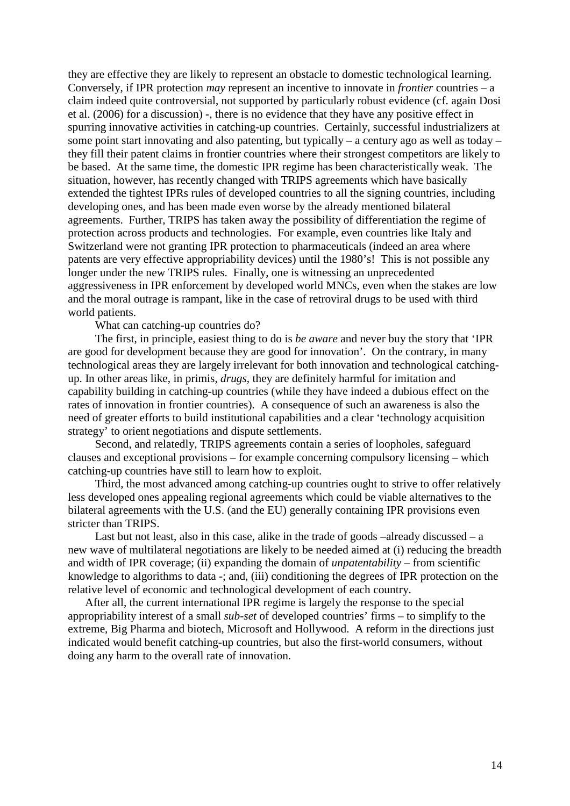they are effective they are likely to represent an obstacle to domestic technological learning. Conversely, if IPR protection *may* represent an incentive to innovate in *frontier* countries – a claim indeed quite controversial, not supported by particularly robust evidence (cf. again Dosi et al. (2006) for a discussion) -, there is no evidence that they have any positive effect in spurring innovative activities in catching-up countries. Certainly, successful industrializers at some point start innovating and also patenting, but typically – a century ago as well as today – they fill their patent claims in frontier countries where their strongest competitors are likely to be based. At the same time, the domestic IPR regime has been characteristically weak. The situation, however, has recently changed with TRIPS agreements which have basically extended the tightest IPRs rules of developed countries to all the signing countries, including developing ones, and has been made even worse by the already mentioned bilateral agreements. Further, TRIPS has taken away the possibility of differentiation the regime of protection across products and technologies. For example, even countries like Italy and Switzerland were not granting IPR protection to pharmaceuticals (indeed an area where patents are very effective appropriability devices) until the 1980's! This is not possible any longer under the new TRIPS rules. Finally, one is witnessing an unprecedented aggressiveness in IPR enforcement by developed world MNCs, even when the stakes are low and the moral outrage is rampant, like in the case of retroviral drugs to be used with third world patients.

What can catching-up countries do?

The first, in principle, easiest thing to do is *be aware* and never buy the story that 'IPR are good for development because they are good for innovation'. On the contrary, in many technological areas they are largely irrelevant for both innovation and technological catchingup. In other areas like, in primis, *drugs*, they are definitely harmful for imitation and capability building in catching-up countries (while they have indeed a dubious effect on the rates of innovation in frontier countries). A consequence of such an awareness is also the need of greater efforts to build institutional capabilities and a clear 'technology acquisition strategy' to orient negotiations and dispute settlements.

Second, and relatedly, TRIPS agreements contain a series of loopholes, safeguard clauses and exceptional provisions – for example concerning compulsory licensing – which catching-up countries have still to learn how to exploit.

Third, the most advanced among catching-up countries ought to strive to offer relatively less developed ones appealing regional agreements which could be viable alternatives to the bilateral agreements with the U.S. (and the EU) generally containing IPR provisions even stricter than TRIPS.

Last but not least, also in this case, alike in the trade of goods  $-already$  discussed  $- a$ new wave of multilateral negotiations are likely to be needed aimed at (i) reducing the breadth and width of IPR coverage; (ii) expanding the domain of *unpatentability* – from scientific knowledge to algorithms to data -; and, (iii) conditioning the degrees of IPR protection on the relative level of economic and technological development of each country.

After all, the current international IPR regime is largely the response to the special appropriability interest of a small *sub-set* of developed countries' firms – to simplify to the extreme, Big Pharma and biotech, Microsoft and Hollywood. A reform in the directions just indicated would benefit catching-up countries, but also the first-world consumers, without doing any harm to the overall rate of innovation.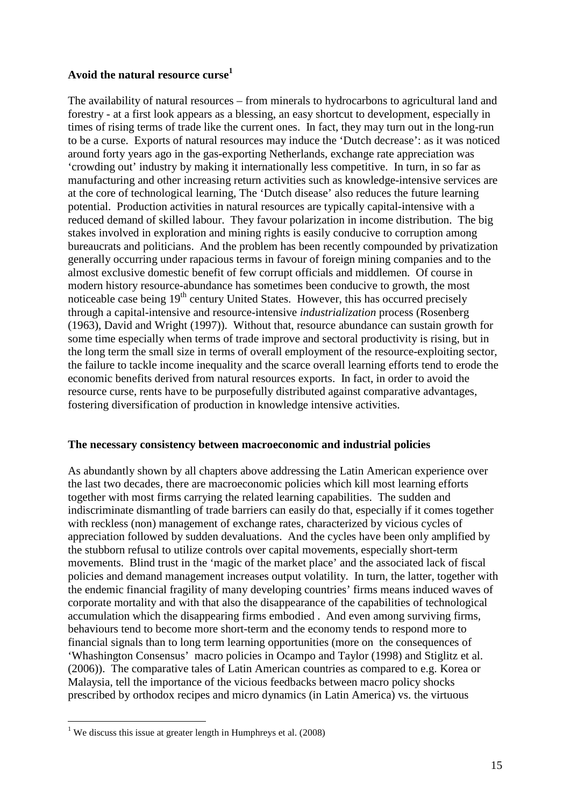## **Avoid the natural resource curse<sup>1</sup>**

The availability of natural resources – from minerals to hydrocarbons to agricultural land and forestry - at a first look appears as a blessing, an easy shortcut to development, especially in times of rising terms of trade like the current ones. In fact, they may turn out in the long-run to be a curse. Exports of natural resources may induce the 'Dutch decrease': as it was noticed around forty years ago in the gas-exporting Netherlands, exchange rate appreciation was 'crowding out' industry by making it internationally less competitive. In turn, in so far as manufacturing and other increasing return activities such as knowledge-intensive services are at the core of technological learning, The 'Dutch disease' also reduces the future learning potential. Production activities in natural resources are typically capital-intensive with a reduced demand of skilled labour. They favour polarization in income distribution. The big stakes involved in exploration and mining rights is easily conducive to corruption among bureaucrats and politicians. And the problem has been recently compounded by privatization generally occurring under rapacious terms in favour of foreign mining companies and to the almost exclusive domestic benefit of few corrupt officials and middlemen. Of course in modern history resource-abundance has sometimes been conducive to growth, the most noticeable case being  $19<sup>th</sup>$  century United States. However, this has occurred precisely through a capital-intensive and resource-intensive *industrialization* process (Rosenberg (1963), David and Wright (1997)). Without that, resource abundance can sustain growth for some time especially when terms of trade improve and sectoral productivity is rising, but in the long term the small size in terms of overall employment of the resource-exploiting sector, the failure to tackle income inequality and the scarce overall learning efforts tend to erode the economic benefits derived from natural resources exports. In fact, in order to avoid the resource curse, rents have to be purposefully distributed against comparative advantages, fostering diversification of production in knowledge intensive activities.

#### **The necessary consistency between macroeconomic and industrial policies**

As abundantly shown by all chapters above addressing the Latin American experience over the last two decades, there are macroeconomic policies which kill most learning efforts together with most firms carrying the related learning capabilities. The sudden and indiscriminate dismantling of trade barriers can easily do that, especially if it comes together with reckless (non) management of exchange rates, characterized by vicious cycles of appreciation followed by sudden devaluations. And the cycles have been only amplified by the stubborn refusal to utilize controls over capital movements, especially short-term movements. Blind trust in the 'magic of the market place' and the associated lack of fiscal policies and demand management increases output volatility. In turn, the latter, together with the endemic financial fragility of many developing countries' firms means induced waves of corporate mortality and with that also the disappearance of the capabilities of technological accumulation which the disappearing firms embodied . And even among surviving firms, behaviours tend to become more short-term and the economy tends to respond more to financial signals than to long term learning opportunities (more on the consequences of 'Whashington Consensus' macro policies in Ocampo and Taylor (1998) and Stiglitz et al. (2006)). The comparative tales of Latin American countries as compared to e.g. Korea or Malaysia, tell the importance of the vicious feedbacks between macro policy shocks prescribed by orthodox recipes and micro dynamics (in Latin America) vs. the virtuous

 $\overline{a}$ 

<sup>&</sup>lt;sup>1</sup> We discuss this issue at greater length in Humphreys et al.  $(2008)$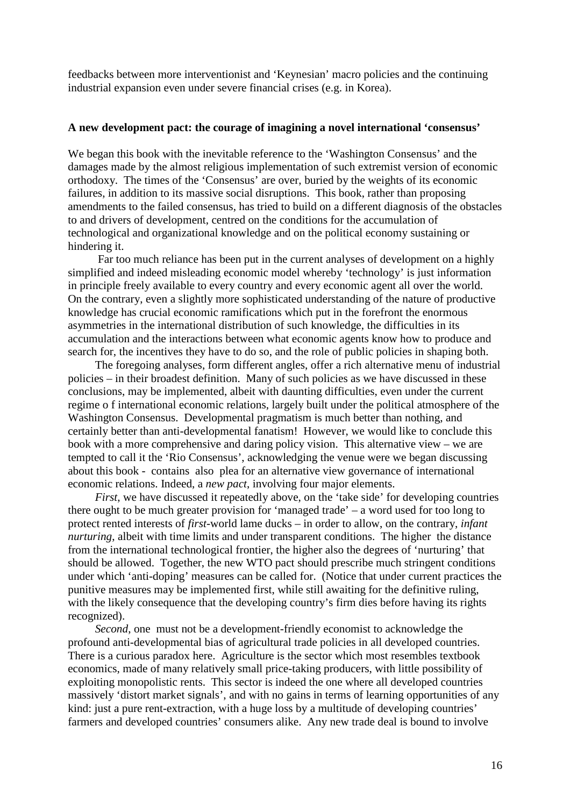feedbacks between more interventionist and 'Keynesian' macro policies and the continuing industrial expansion even under severe financial crises (e.g. in Korea).

#### **A new development pact: the courage of imagining a novel international 'consensus'**

We began this book with the inevitable reference to the 'Washington Consensus' and the damages made by the almost religious implementation of such extremist version of economic orthodoxy. The times of the 'Consensus' are over, buried by the weights of its economic failures, in addition to its massive social disruptions. This book, rather than proposing amendments to the failed consensus, has tried to build on a different diagnosis of the obstacles to and drivers of development, centred on the conditions for the accumulation of technological and organizational knowledge and on the political economy sustaining or hindering it.

 Far too much reliance has been put in the current analyses of development on a highly simplified and indeed misleading economic model whereby 'technology' is just information in principle freely available to every country and every economic agent all over the world. On the contrary, even a slightly more sophisticated understanding of the nature of productive knowledge has crucial economic ramifications which put in the forefront the enormous asymmetries in the international distribution of such knowledge, the difficulties in its accumulation and the interactions between what economic agents know how to produce and search for, the incentives they have to do so, and the role of public policies in shaping both.

The foregoing analyses, form different angles, offer a rich alternative menu of industrial policies – in their broadest definition. Many of such policies as we have discussed in these conclusions, may be implemented, albeit with daunting difficulties, even under the current regime o f international economic relations, largely built under the political atmosphere of the Washington Consensus. Developmental pragmatism is much better than nothing, and certainly better than anti-developmental fanatism! However, we would like to conclude this book with a more comprehensive and daring policy vision. This alternative view – we are tempted to call it the 'Rio Consensus', acknowledging the venue were we began discussing about this book - contains also plea for an alternative view governance of international economic relations. Indeed, a *new pact*, involving four major elements.

*First*, we have discussed it repeatedly above, on the 'take side' for developing countries there ought to be much greater provision for 'managed trade' – a word used for too long to protect rented interests of *first*-world lame ducks – in order to allow, on the contrary, *infant nurturing*, albeit with time limits and under transparent conditions. The higher the distance from the international technological frontier, the higher also the degrees of 'nurturing' that should be allowed. Together, the new WTO pact should prescribe much stringent conditions under which 'anti-doping' measures can be called for. (Notice that under current practices the punitive measures may be implemented first, while still awaiting for the definitive ruling, with the likely consequence that the developing country's firm dies before having its rights recognized).

*Second*, one must not be a development-friendly economist to acknowledge the profound anti-developmental bias of agricultural trade policies in all developed countries. There is a curious paradox here. Agriculture is the sector which most resembles textbook economics, made of many relatively small price-taking producers, with little possibility of exploiting monopolistic rents. This sector is indeed the one where all developed countries massively 'distort market signals', and with no gains in terms of learning opportunities of any kind: just a pure rent-extraction, with a huge loss by a multitude of developing countries' farmers and developed countries' consumers alike. Any new trade deal is bound to involve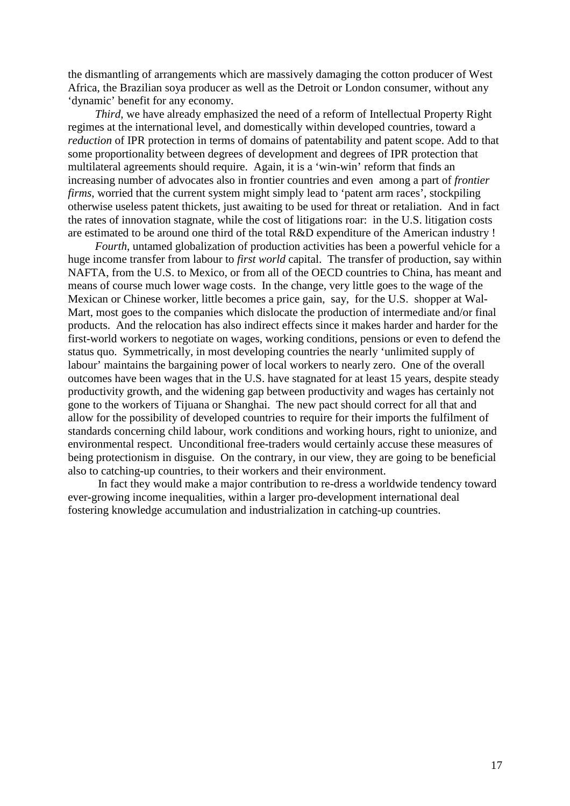the dismantling of arrangements which are massively damaging the cotton producer of West Africa, the Brazilian soya producer as well as the Detroit or London consumer, without any 'dynamic' benefit for any economy.

*Third*, we have already emphasized the need of a reform of Intellectual Property Right regimes at the international level, and domestically within developed countries, toward a *reduction* of IPR protection in terms of domains of patentability and patent scope. Add to that some proportionality between degrees of development and degrees of IPR protection that multilateral agreements should require. Again, it is a 'win-win' reform that finds an increasing number of advocates also in frontier countries and even among a part of *frontier firms*, worried that the current system might simply lead to 'patent arm races', stockpiling otherwise useless patent thickets, just awaiting to be used for threat or retaliation. And in fact the rates of innovation stagnate, while the cost of litigations roar: in the U.S. litigation costs are estimated to be around one third of the total R&D expenditure of the American industry !

*Fourth*, untamed globalization of production activities has been a powerful vehicle for a huge income transfer from labour to *first world* capital. The transfer of production, say within NAFTA, from the U.S. to Mexico, or from all of the OECD countries to China, has meant and means of course much lower wage costs. In the change, very little goes to the wage of the Mexican or Chinese worker, little becomes a price gain, say, for the U.S. shopper at Wal-Mart, most goes to the companies which dislocate the production of intermediate and/or final products. And the relocation has also indirect effects since it makes harder and harder for the first-world workers to negotiate on wages, working conditions, pensions or even to defend the status quo. Symmetrically, in most developing countries the nearly 'unlimited supply of labour' maintains the bargaining power of local workers to nearly zero. One of the overall outcomes have been wages that in the U.S. have stagnated for at least 15 years, despite steady productivity growth, and the widening gap between productivity and wages has certainly not gone to the workers of Tijuana or Shanghai. The new pact should correct for all that and allow for the possibility of developed countries to require for their imports the fulfilment of standards concerning child labour, work conditions and working hours, right to unionize, and environmental respect. Unconditional free-traders would certainly accuse these measures of being protectionism in disguise. On the contrary, in our view, they are going to be beneficial also to catching-up countries, to their workers and their environment.

 In fact they would make a major contribution to re-dress a worldwide tendency toward ever-growing income inequalities, within a larger pro-development international deal fostering knowledge accumulation and industrialization in catching-up countries.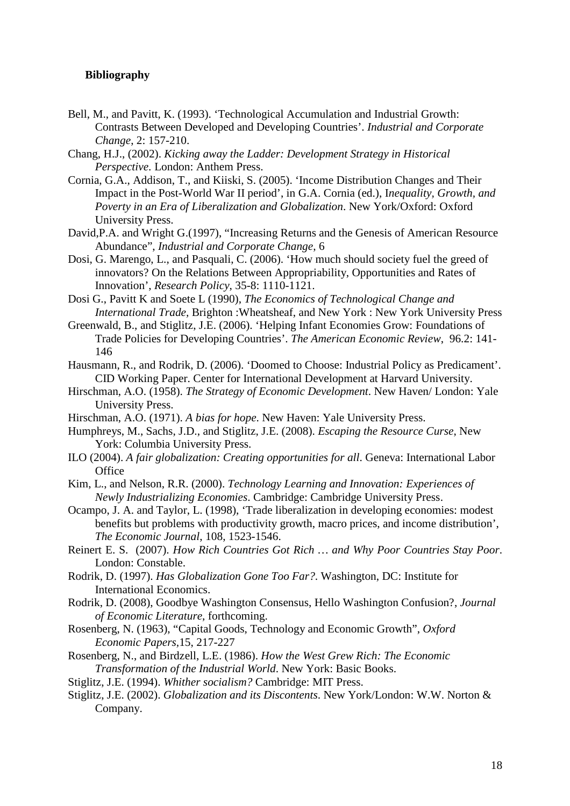#### **Bibliography**

- Bell, M., and Pavitt, K. (1993). 'Technological Accumulation and Industrial Growth: Contrasts Between Developed and Developing Countries'. *Industrial and Corporate Change*, 2: 157-210.
- Chang, H.J., (2002). *Kicking away the Ladder: Development Strategy in Historical Perspective*. London: Anthem Press.
- Cornia, G.A., Addison, T., and Kiiski, S. (2005). 'Income Distribution Changes and Their Impact in the Post-World War II period', in G.A. Cornia (ed.), I*nequality, Growth, and Poverty in an Era of Liberalization and Globalization*. New York/Oxford: Oxford University Press.
- David,P.A. and Wright G.(1997), "Increasing Returns and the Genesis of American Resource Abundance", *Industrial and Corporate Change*, 6
- Dosi, G. Marengo, L., and Pasquali, C. (2006). 'How much should society fuel the greed of innovators? On the Relations Between Appropriability, Opportunities and Rates of Innovation', *Research Policy*, 35-8: 1110-1121.
- Dosi G., Pavitt K and Soete L (1990), *The Economics of Technological Change and International Trade,* Brighton :Wheatsheaf, and New York : New York University Press
- Greenwald, B., and Stiglitz, J.E. (2006). 'Helping Infant Economies Grow: Foundations of Trade Policies for Developing Countries'. *The American Economic Review*, 96.2: 141- 146
- Hausmann, R., and Rodrik, D. (2006). 'Doomed to Choose: Industrial Policy as Predicament'. CID Working Paper. Center for International Development at Harvard University.
- Hirschman, A.O. (1958). *The Strategy of Economic Development*. New Haven/ London: Yale University Press.
- Hirschman, A.O. (1971). *A bias for hope*. New Haven: Yale University Press.
- Humphreys, M., Sachs, J.D., and Stiglitz, J.E. (2008). *Escaping the Resource Curse*, New York: Columbia University Press.
- ILO (2004). *A fair globalization: Creating opportunities for all*. Geneva: International Labor **Office**
- Kim, L., and Nelson, R.R. (2000). *Technology Learning and Innovation: Experiences of Newly Industrializing Economies*. Cambridge: Cambridge University Press.
- Ocampo, J. A. and Taylor, L. (1998), 'Trade liberalization in developing economies: modest benefits but problems with productivity growth, macro prices, and income distribution', *The Economic Journal*, 108, 1523-1546.
- Reinert E. S. (2007). *How Rich Countries Got Rich … and Why Poor Countries Stay Poor*. London: Constable.
- Rodrik, D. (1997). *Has Globalization Gone Too Far?*. Washington, DC: Institute for International Economics.
- Rodrik, D. (2008), Goodbye Washington Consensus, Hello Washington Confusion?, *Journal of Economic Literature*, forthcoming.
- Rosenberg, N. (1963), "Capital Goods, Technology and Economic Growth", *Oxford Economic Papers,*15, 217-227
- Rosenberg, N., and Birdzell, L.E. (1986). *How the West Grew Rich: The Economic Transformation of the Industrial World*. New York: Basic Books.
- Stiglitz, J.E. (1994). *Whither socialism?* Cambridge: MIT Press.
- Stiglitz, J.E. (2002). *Globalization and its Discontents*. New York/London: W.W. Norton & Company.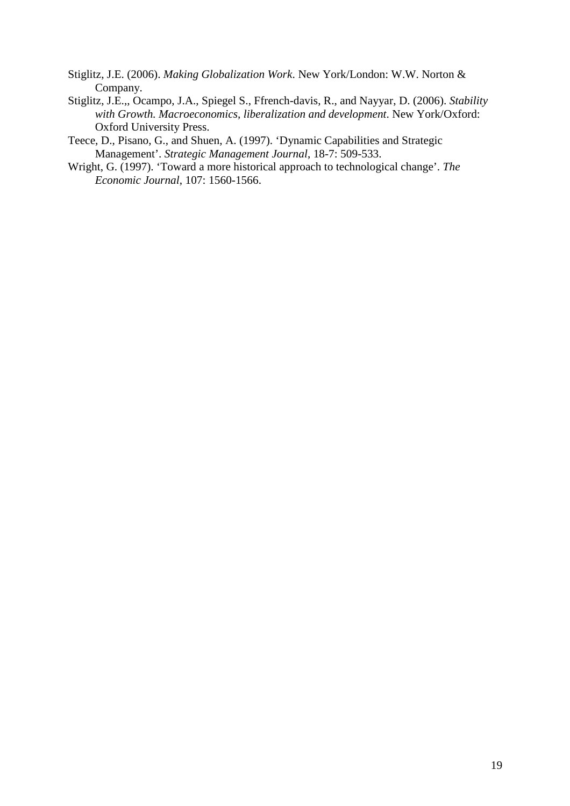- Stiglitz, J.E. (2006). *Making Globalization Work*. New York/London: W.W. Norton & Company.
- Stiglitz, J.E.,, Ocampo, J.A., Spiegel S., Ffrench-davis, R., and Nayyar, D. (2006). *Stability with Growth. Macroeconomics, liberalization and development*. New York/Oxford: Oxford University Press.
- Teece, D., Pisano, G., and Shuen, A. (1997). 'Dynamic Capabilities and Strategic Management'. *Strategic Management Journal*, 18-7: 509-533.
- Wright, G. (1997). 'Toward a more historical approach to technological change'. *The Economic Journal*, 107: 1560-1566.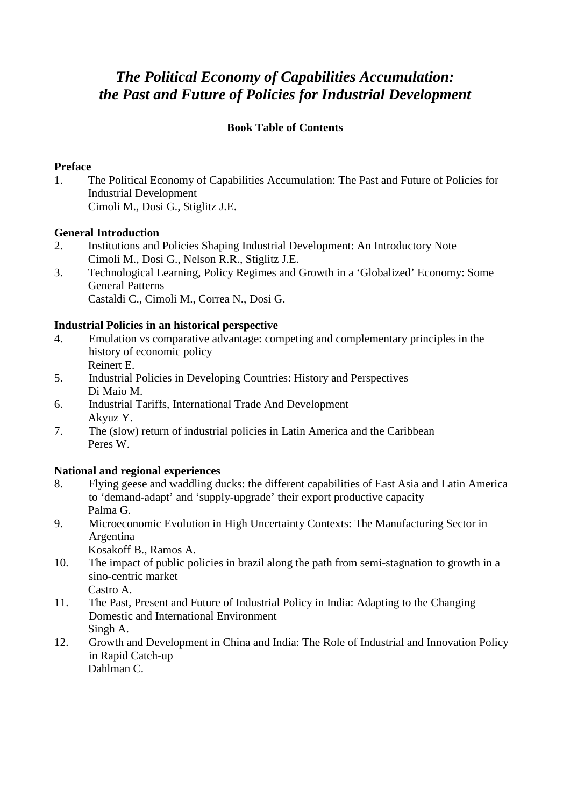## *The Political Economy of Capabilities Accumulation: the Past and Future of Policies for Industrial Development*

## **Book Table of Contents**

## **Preface**

1. The Political Economy of Capabilities Accumulation: The Past and Future of Policies for Industrial Development Cimoli M., Dosi G., Stiglitz J.E.

## **General Introduction**

- 2. Institutions and Policies Shaping Industrial Development: An Introductory Note Cimoli M., Dosi G., Nelson R.R., Stiglitz J.E.
- 3. Technological Learning, Policy Regimes and Growth in a 'Globalized' Economy: Some General Patterns Castaldi C., Cimoli M., Correa N., Dosi G.

## **Industrial Policies in an historical perspective**

- 4. Emulation vs comparative advantage: competing and complementary principles in the history of economic policy Reinert E.
- 5. Industrial Policies in Developing Countries: History and Perspectives Di Maio M.
- 6. Industrial Tariffs, International Trade And Development Akyuz Y.
- 7. The (slow) return of industrial policies in Latin America and the Caribbean Peres W.

#### **National and regional experiences**

- 8. Flying geese and waddling ducks: the different capabilities of East Asia and Latin America to 'demand-adapt' and 'supply-upgrade' their export productive capacity Palma G.
- 9. Microeconomic Evolution in High Uncertainty Contexts: The Manufacturing Sector in Argentina

Kosakoff B., Ramos A.

10. The impact of public policies in brazil along the path from semi-stagnation to growth in a sino-centric market

Castro A.

- 11. The Past, Present and Future of Industrial Policy in India: Adapting to the Changing Domestic and International Environment Singh A.
- 12. Growth and Development in China and India: The Role of Industrial and Innovation Policy in Rapid Catch-up Dahlman C.